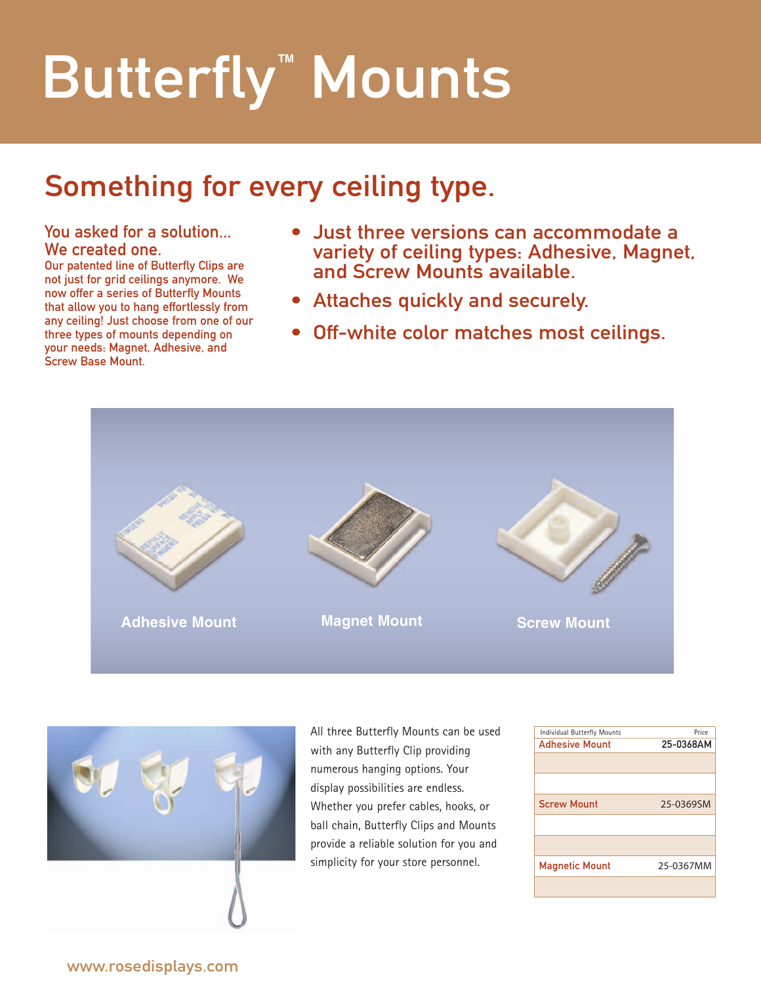# Butterfly<sup>™</sup> Mounts

# Something for every ceiling type.

### You asked for a solution... We created one.

Our patented line of Butterfly Clips are not just for grid ceilings anymore. We now offer a series of Butterfly Mounts that allow you to hang effortlessly from any ceiling! Just choose from one of our three types of mounts depending on your needs: Magnet, Adhesive, and Screw Base Mount.

- Just three versions can accommodate a variety of ceiling types: Adhesive, Magnet, and Screw Mounts available.
- Attaches quickly and securely.
- Off-white color matches most ceilings.





All three Butterfly Mounts can be used with any Butterfly Clip providing numerous hanging options. Your display possibilities are endless. Whether you prefer cables, hooks, or ball chain, Butterfly Clips and Mounts provide a reliable solution for you and simplicity for your store personnel.

| Individual Butterfly Mounts | Price     |  |  |
|-----------------------------|-----------|--|--|
| <b>Adhesive Mount</b>       | 25-0368AM |  |  |
|                             |           |  |  |
|                             |           |  |  |
| <b>Screw Mount</b>          | 25-0369SM |  |  |
|                             |           |  |  |
|                             |           |  |  |
| <b>Magnetic Mount</b>       | 25-0367MM |  |  |
|                             |           |  |  |

www.rosedisplays.com